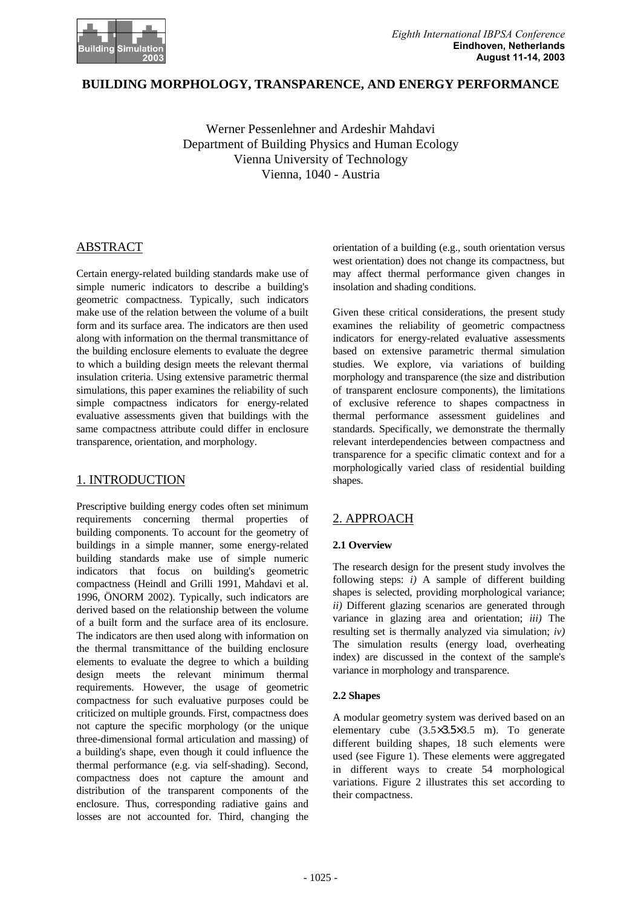

## **BUILDING MORPHOLOGY, TRANSPARENCE, AND ENERGY PERFORMANCE**

Werner Pessenlehner and Ardeshir Mahdavi Department of Building Physics and Human Ecology Vienna University of Technology Vienna, 1040 - Austria

# ABSTRACT

Certain energy-related building standards make use of simple numeric indicators to describe a building's geometric compactness. Typically, such indicators make use of the relation between the volume of a built form and its surface area. The indicators are then used along with information on the thermal transmittance of the building enclosure elements to evaluate the degree to which a building design meets the relevant thermal insulation criteria. Using extensive parametric thermal simulations, this paper examines the reliability of such simple compactness indicators for energy-related evaluative assessments given that buildings with the same compactness attribute could differ in enclosure transparence, orientation, and morphology.

## 1. INTRODUCTION

Prescriptive building energy codes often set minimum requirements concerning thermal properties of building components. To account for the geometry of buildings in a simple manner, some energy-related building standards make use of simple numeric indicators that focus on building's geometric compactness (Heindl and Grilli 1991, Mahdavi et al. 1996, ÖNORM 2002). Typically, such indicators are derived based on the relationship between the volume of a built form and the surface area of its enclosure. The indicators are then used along with information on the thermal transmittance of the building enclosure elements to evaluate the degree to which a building design meets the relevant minimum thermal requirements. However, the usage of geometric compactness for such evaluative purposes could be criticized on multiple grounds. First, compactness does not capture the specific morphology (or the unique three-dimensional formal articulation and massing) of a building's shape, even though it could influence the thermal performance (e.g. via self-shading). Second, compactness does not capture the amount and distribution of the transparent components of the enclosure. Thus, corresponding radiative gains and losses are not accounted for. Third, changing the

orientation of a building (e.g., south orientation versus west orientation) does not change its compactness, but may affect thermal performance given changes in insolation and shading conditions.

Given these critical considerations, the present study examines the reliability of geometric compactness indicators for energy-related evaluative assessments based on extensive parametric thermal simulation studies. We explore, via variations of building morphology and transparence (the size and distribution of transparent enclosure components), the limitations of exclusive reference to shapes compactness in thermal performance assessment guidelines and standards. Specifically, we demonstrate the thermally relevant interdependencies between compactness and transparence for a specific climatic context and for a morphologically varied class of residential building shapes.

# 2. APPROACH

### **2.1 Overview**

The research design for the present study involves the following steps: *i)* A sample of different building shapes is selected, providing morphological variance; *ii)* Different glazing scenarios are generated through variance in glazing area and orientation; *iii)* The resulting set is thermally analyzed via simulation; *iv)* The simulation results (energy load, overheating index) are discussed in the context of the sample's variance in morphology and transparence.

### **2.2 Shapes**

A modular geometry system was derived based on an elementary cube (3.5×3.5×3.5 m). To generate different building shapes, 18 such elements were used (see Figure 1). These elements were aggregated in different ways to create 54 morphological variations. Figure 2 illustrates this set according to their compactness.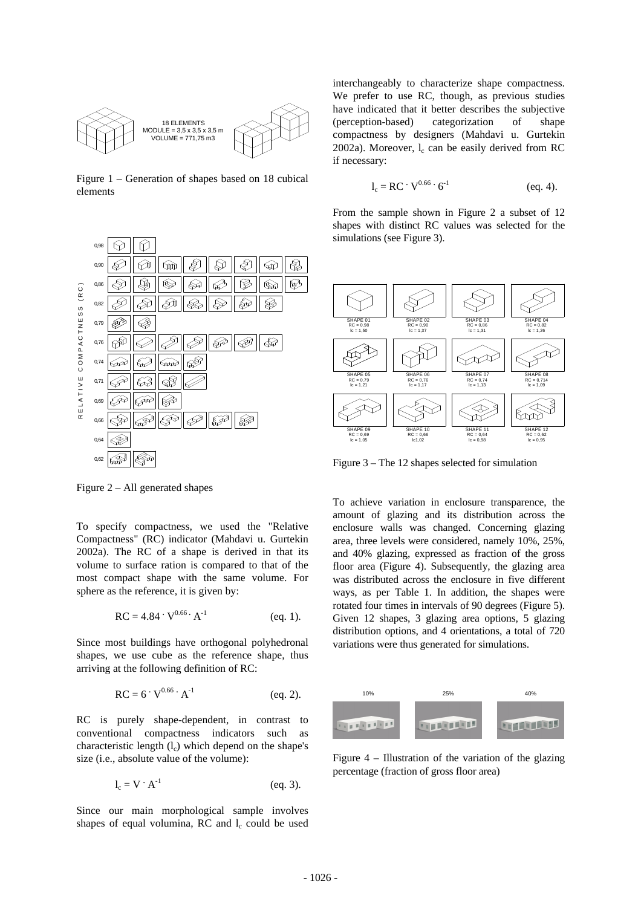

Figure 1 – Generation of shapes based on 18 cubical elements



Figure 2 – All generated shapes

To specify compactness, we used the "Relative Compactness" (RC) indicator (Mahdavi u. Gurtekin 2002a). The RC of a shape is derived in that its volume to surface ration is compared to that of the most compact shape with the same volume. For sphere as the reference, it is given by:

$$
RC = 4.84 \cdot V^{0.66} \cdot A^{-1}
$$
 (eq. 1).

Since most buildings have orthogonal polyhedronal shapes, we use cube as the reference shape, thus arriving at the following definition of RC:

$$
RC = 6 \cdot V^{0.66} \cdot A^{-1}
$$
 (eq. 2).

RC is purely shape-dependent, in contrast to conventional compactness indicators such as characteristic length  $(l_c)$  which depend on the shape's size (i.e., absolute value of the volume):

$$
l_c = V \cdot A^{-1} \tag{eq. 3}.
$$

Since our main morphological sample involves shapes of equal volumina, RC and  $l_c$  could be used

interchangeably to characterize shape compactness. We prefer to use RC, though, as previous studies have indicated that it better describes the subjective (perception-based) categorization of shape compactness by designers (Mahdavi u. Gurtekin  $2002a$ ). Moreover,  $l_c$  can be easily derived from RC if necessary:

$$
l_c = RC \cdot V^{0.66} \cdot 6^{-1}
$$
 (eq. 4).

From the sample shown in Figure 2 a subset of 12 shapes with distinct RC values was selected for the simulations (see Figure 3).



Figure 3 – The 12 shapes selected for simulation

To achieve variation in enclosure transparence, the amount of glazing and its distribution across the enclosure walls was changed. Concerning glazing area, three levels were considered, namely 10%, 25%, and 40% glazing, expressed as fraction of the gross floor area (Figure 4). Subsequently, the glazing area was distributed across the enclosure in five different ways, as per Table 1. In addition, the shapes were rotated four times in intervals of 90 degrees (Figure 5). Given 12 shapes, 3 glazing area options, 5 glazing distribution options, and 4 orientations, a total of 720 variations were thus generated for simulations.



Figure 4 – Illustration of the variation of the glazing percentage (fraction of gross floor area)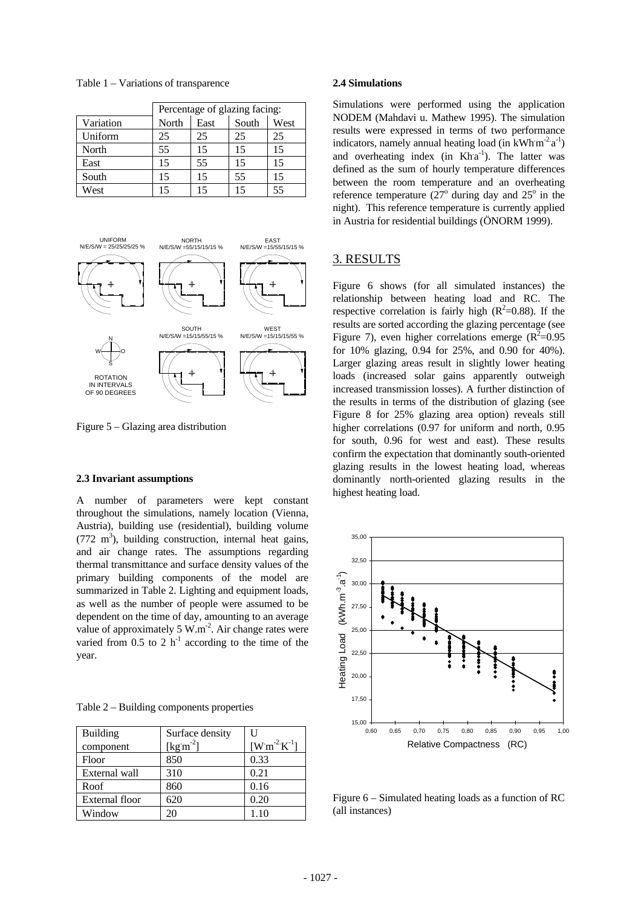|           | Percentage of glazing facing: |      |       |                |
|-----------|-------------------------------|------|-------|----------------|
| Variation | North                         | East | South | West           |
| Uniform   | 25                            | 25   | 25    | 25             |
| North     | 55                            | 15   | 15    | 15             |
| East      | 15                            | 55   | 15    | 15             |
| South     | 15                            | 15   | 55    | 15             |
| West      |                               |      | 15    | 5 <sup>5</sup> |

Table 1 – Variations of transparence



Figure 5 – Glazing area distribution

#### **2.3 Invariant assumptions**

A number of parameters were kept constant throughout the simulations, namely location (Vienna, Austria), building use (residential), building volume  $(772 \text{ m}^3)$ , building construction, internal heat gains, and air change rates. The assumptions regarding thermal transmittance and surface density values of the primary building components of the model are summarized in Table 2. Lighting and equipment loads, as well as the number of people were assumed to be dependent on the time of day, amounting to an average value of approximately 5  $W.m^{-2}$ . Air change rates were varied from  $0.5$  to 2 h<sup>-1</sup> according to the time of the year.

|  | Table 2 – Building components properties |
|--|------------------------------------------|
|--|------------------------------------------|

| <b>Building</b>       | Surface density | U                               |
|-----------------------|-----------------|---------------------------------|
| component             | $[kg m-2]$      | $[{\rm W\,m}^{-2}{\rm K}^{-1}]$ |
| Floor                 | 850             | 0.33                            |
| External wall         | 310             | 0.21                            |
| Roof                  | 860             | 0.16                            |
| <b>External floor</b> | 620             | 0.20                            |
| Window                | 20              | 1.10                            |

#### **2.4 Simulations**

Simulations were performed using the application NODEM (Mahdavi u. Mathew 1995). The simulation results were expressed in terms of two performance indicators, namely annual heating load (in  $kWhm<sup>-2</sup>a<sup>-1</sup>$ ) and overheating index (in  $Kha^{-1}$ ). The latter was defined as the sum of hourly temperature differences between the room temperature and an overheating reference temperature  $(27^{\circ}$  during day and  $25^{\circ}$  in the night). This reference temperature is currently applied in Austria for residential buildings (ÖNORM 1999).

### 3. RESULTS

Figure 6 shows (for all simulated instances) the relationship between heating load and RC. The respective correlation is fairly high  $(R^2=0.88)$ . If the results are sorted according the glazing percentage (see Figure 7), even higher correlations emerge  $(R^2=0.95)$ for 10% glazing, 0.94 for 25%, and 0.90 for 40%). Larger glazing areas result in slightly lower heating loads (increased solar gains apparently outweigh increased transmission losses). A further distinction of the results in terms of the distribution of glazing (see Figure 8 for 25% glazing area option) reveals still higher correlations (0.97 for uniform and north, 0.95 for south, 0.96 for west and east). These results confirm the expectation that dominantly south-oriented glazing results in the lowest heating load, whereas dominantly north-oriented glazing results in the highest heating load.



Figure 6 – Simulated heating loads as a function of RC (all instances)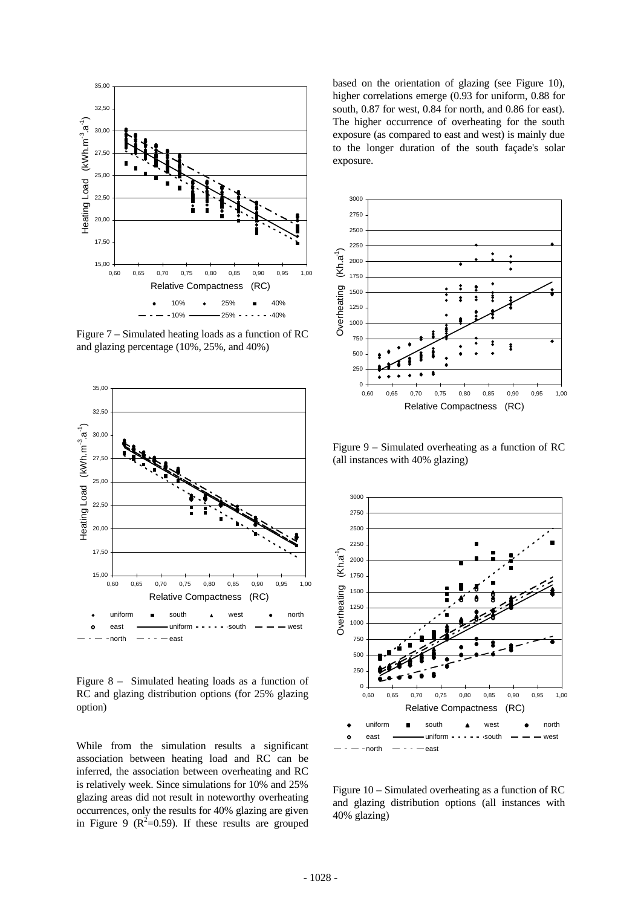

Figure 7 – Simulated heating loads as a function of RC and glazing percentage (10%, 25%, and 40%)



Figure 8 – Simulated heating loads as a function of RC and glazing distribution options (for 25% glazing option)

While from the simulation results a significant association between heating load and RC can be inferred, the association between overheating and RC is relatively week. Since simulations for 10% and 25% glazing areas did not result in noteworthy overheating occurrences, only the results for 40% glazing are given in Figure 9 ( $R^2$ =0.59). If these results are grouped

based on the orientation of glazing (see Figure 10), higher correlations emerge (0.93 for uniform, 0.88 for south, 0.87 for west, 0.84 for north, and 0.86 for east). The higher occurrence of overheating for the south exposure (as compared to east and west) is mainly due to the longer duration of the south façade's solar exposure.



Figure 9 – Simulated overheating as a function of RC (all instances with 40% glazing)



Figure 10 – Simulated overheating as a function of RC and glazing distribution options (all instances with 40% glazing)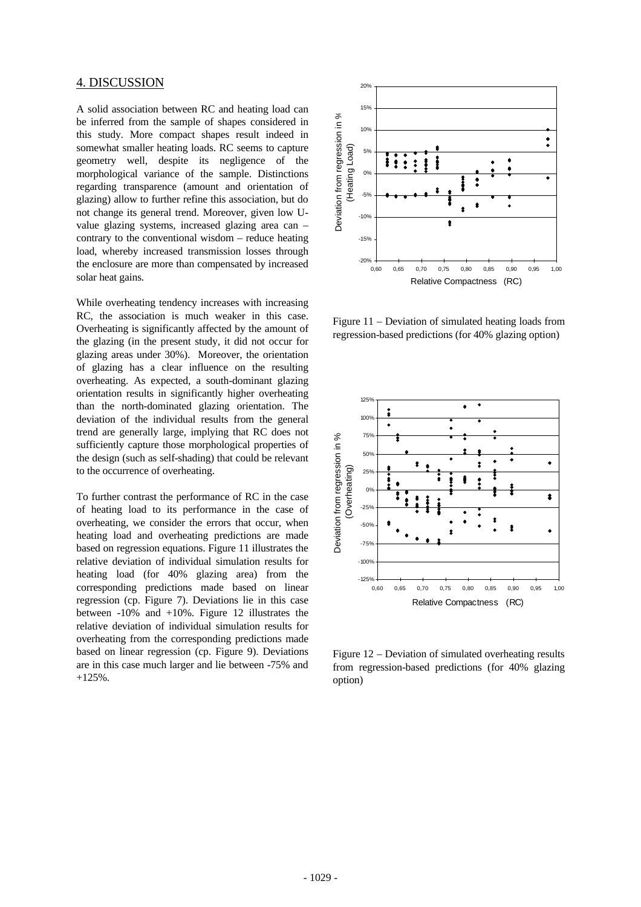### 4. DISCUSSION

A solid association between RC and heating load can be inferred from the sample of shapes considered in this study. More compact shapes result indeed in somewhat smaller heating loads. RC seems to capture geometry well, despite its negligence of the morphological variance of the sample. Distinctions regarding transparence (amount and orientation of glazing) allow to further refine this association, but do not change its general trend. Moreover, given low Uvalue glazing systems, increased glazing area can – contrary to the conventional wisdom – reduce heating load, whereby increased transmission losses through the enclosure are more than compensated by increased solar heat gains.

While overheating tendency increases with increasing RC, the association is much weaker in this case. Overheating is significantly affected by the amount of the glazing (in the present study, it did not occur for glazing areas under 30%). Moreover, the orientation of glazing has a clear influence on the resulting overheating. As expected, a south-dominant glazing orientation results in significantly higher overheating than the north-dominated glazing orientation. The deviation of the individual results from the general trend are generally large, implying that RC does not sufficiently capture those morphological properties of the design (such as self-shading) that could be relevant to the occurrence of overheating.

To further contrast the performance of RC in the case of heating load to its performance in the case of overheating, we consider the errors that occur, when heating load and overheating predictions are made based on regression equations. Figure 11 illustrates the relative deviation of individual simulation results for heating load (for 40% glazing area) from the corresponding predictions made based on linear regression (cp. Figure 7). Deviations lie in this case between -10% and +10%. Figure 12 illustrates the relative deviation of individual simulation results for overheating from the corresponding predictions made based on linear regression (cp. Figure 9). Deviations are in this case much larger and lie between -75% and +125%.



Figure 11 – Deviation of simulated heating loads from regression-based predictions (for 40% glazing option)



Figure 12 – Deviation of simulated overheating results from regression-based predictions (for 40% glazing option)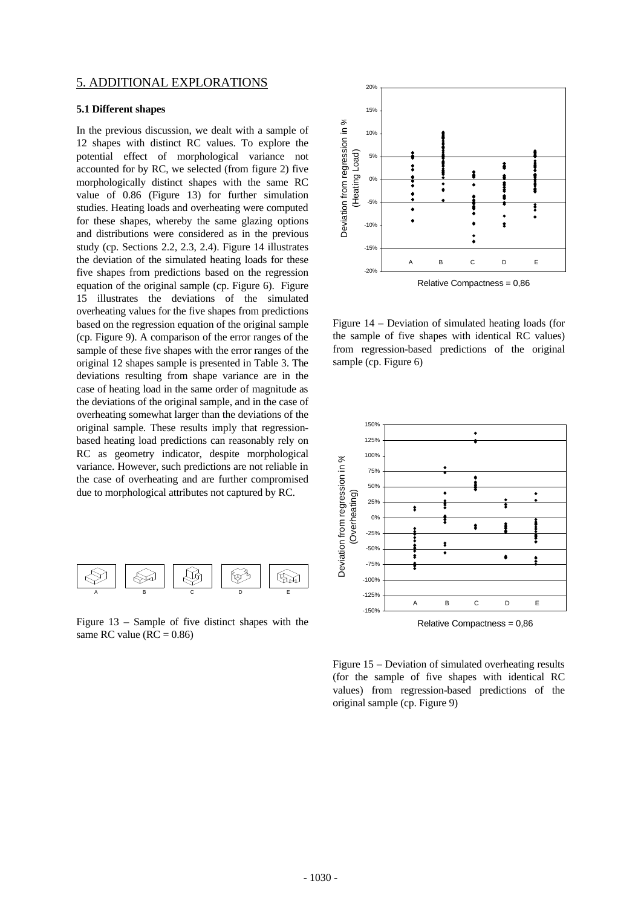## 5. ADDITIONAL EXPLORATIONS

#### **5.1 Different shapes**

In the previous discussion, we dealt with a sample of 12 shapes with distinct RC values. To explore the potential effect of morphological variance not accounted for by RC, we selected (from figure 2) five morphologically distinct shapes with the same RC value of 0.86 (Figure 13) for further simulation studies. Heating loads and overheating were computed for these shapes, whereby the same glazing options and distributions were considered as in the previous study (cp. Sections 2.2, 2.3, 2.4). Figure 14 illustrates the deviation of the simulated heating loads for these five shapes from predictions based on the regression equation of the original sample (cp. Figure 6). Figure 15 illustrates the deviations of the simulated overheating values for the five shapes from predictions based on the regression equation of the original sample (cp. Figure 9). A comparison of the error ranges of the sample of these five shapes with the error ranges of the original 12 shapes sample is presented in Table 3. The deviations resulting from shape variance are in the case of heating load in the same order of magnitude as the deviations of the original sample, and in the case of overheating somewhat larger than the deviations of the original sample. These results imply that regressionbased heating load predictions can reasonably rely on RC as geometry indicator, despite morphological variance. However, such predictions are not reliable in the case of overheating and are further compromised due to morphological attributes not captured by RC.



Figure 13 – Sample of five distinct shapes with the same RC value ( $RC = 0.86$ )



Figure 14 – Deviation of simulated heating loads (for the sample of five shapes with identical RC values) from regression-based predictions of the original sample (cp. Figure 6)



Relative Compactness = 0,86

Figure 15 – Deviation of simulated overheating results (for the sample of five shapes with identical RC values) from regression-based predictions of the original sample (cp. Figure 9)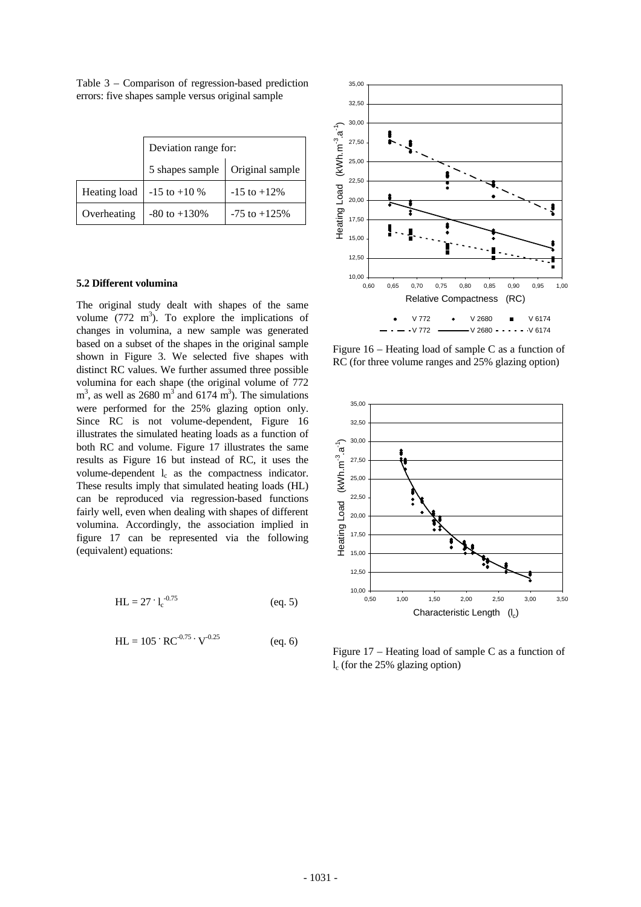Table 3 – Comparison of regression-based prediction errors: five shapes sample versus original sample

|             | Deviation range for:              |                  |  |
|-------------|-----------------------------------|------------------|--|
|             | 5 shapes sample   Original sample |                  |  |
|             | Heating load   -15 to +10 %       | $-15$ to $+12\%$ |  |
| Overheating | $-80$ to $+130%$                  | $-75$ to $+125%$ |  |

#### **5.2 Different volumina**

The original study dealt with shapes of the same volume  $(772 \text{ m}^3)$ . To explore the implications of changes in volumina, a new sample was generated based on a subset of the shapes in the original sample shown in Figure 3. We selected five shapes with distinct RC values. We further assumed three possible volumina for each shape (the original volume of 772  $m<sup>3</sup>$ , as well as 2680  $m<sup>3</sup>$  and 6174  $m<sup>3</sup>$ ). The simulations were performed for the 25% glazing option only. Since RC is not volume-dependent, Figure 16 illustrates the simulated heating loads as a function of both RC and volume. Figure 17 illustrates the same results as Figure 16 but instead of RC, it uses the volume-dependent  $l_c$  as the compactness indicator. These results imply that simulated heating loads (HL) can be reproduced via regression-based functions fairly well, even when dealing with shapes of different volumina. Accordingly, the association implied in figure 17 can be represented via the following (equivalent) equations:

$$
HL = 27 \cdot 1_c^{-0.75}
$$
 (eq. 5)

$$
HL = 105 \cdot RC^{-0.75} \cdot V^{-0.25}
$$
 (eq. 6)



Figure 16 – Heating load of sample C as a function of RC (for three volume ranges and 25% glazing option)



Figure 17 – Heating load of sample C as a function of lc (for the 25% glazing option)